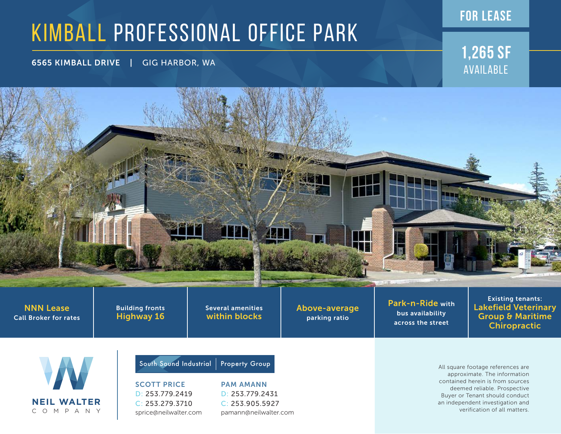## KIMBALL PROFESSIONAL OFFICE PARK

6565 KIMBALL DRIVE | GIG HARBOR, WA **1,265 sf**

Available

**for lease**

**200 No** 

NNN Lease Call Broker for rates Building fronts Highway 16

Several amenities within blocks

Above-average parking ratio

Park-n-Ride with bus availability across the street

Existing tenants: Lakefield Veterinary Group & Maritime Chiropractic



SCOTT PRICE D: 253.779.2419 C: 253.279.3710 sprice@neilwalter.com South Sound Industrial | Property Group

PAM AMANN D: 253.779.2431 C: 253.905.5927 pamann@neilwalter.com All square footage references are approximate. The information contained herein is from sources deemed reliable. Prospective Buyer or Tenant should conduct an independent investigation and verification of all matters.